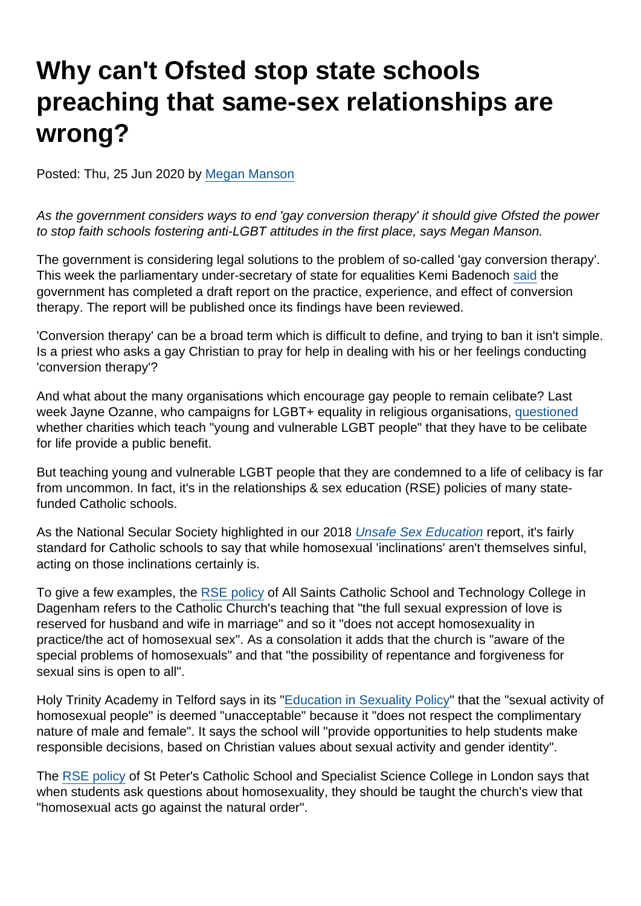# Why can't Ofsted stop state schools preaching that same-sex relationships are wrong?

Posted: Thu, 25 Jun 2020 by [Megan Manson](https://www.secularism.org.uk/opinion/authors/971)

As the government considers ways to end 'gay conversion therapy' it should give Ofsted the power to stop faith schools fostering anti-LGBT attitudes in the first place, says Megan Manson.

The government is considering legal solutions to the problem of so-called 'gay conversion therapy'. This week the parliamentary under-secretary of state for equalities Kemi Badenoch [said](https://www.theyworkforyou.com/wrans/?id=2020-06-15.59593.h) the government has completed a draft report on the practice, experience, and effect of conversion therapy. The report will be published once its findings have been reviewed.

'Conversion therapy' can be a broad term which is difficult to define, and trying to ban it isn't simple. Is a priest who asks a gay Christian to pray for help in dealing with his or her feelings conducting 'conversion therapy'?

And what about the many organisations which encourage gay people to remain celibate? Last week Jayne Ozanne, who campaigns for LGBT+ equality in religious organisations, [questioned](https://www.civilsociety.co.uk/news/call-for-charity-regulators-to-remove-registered-charities-advocating-for-gay-conversion-therapy.html) whether charities which teach "young and vulnerable LGBT people" that they have to be celibate for life provide a public benefit.

But teaching young and vulnerable LGBT people that they are condemned to a life of celibacy is far from uncommon. In fact, it's in the relationships & sex education (RSE) policies of many statefunded Catholic schools.

As the National Secular Society highlighted in our 2018 [Unsafe Sex Education](https://www.secularism.org.uk/uploads/report-unsafe-sex-education---the-risk-of-letting-religious-schools-teach-within-the-tenets-of-their-faith.pdf) report, it's fairly standard for Catholic schools to say that while homosexual 'inclinations' aren't themselves sinful, acting on those inclinations certainly is.

To give a few examples, the [RSE policy](http://www.allsaintsschool.co.uk/assets/relationship-and-sex-education-policy-2019-20-np-edit4.doc) of All Saints Catholic School and Technology College in Dagenham refers to the Catholic Church's teaching that "the full sexual expression of love is reserved for husband and wife in marriage" and so it "does not accept homosexuality in practice/the act of homosexual sex". As a consolation it adds that the church is "aware of the special problems of homosexuals" and that "the possibility of repentance and forgiveness for sexual sins is open to all".

Holy Trinity Academy in Telford says in its ["Education in Sexuality Policy"](http://holytrinity.academy/wp-content/uploads/2018/05/Education-in-Sexuality-Policy.pdf) that the "sexual activity of homosexual people" is deemed "unacceptable" because it "does not respect the complimentary nature of male and female". It says the school will "provide opportunities to help students make responsible decisions, based on Christian values about sexual activity and gender identity".

The [RSE policy](https://www.st-peters.solihull.sch.uk/media/uploads/Relationship-and-Sex-Education-policy-2016.pdf) of St Peter's Catholic School and Specialist Science College in London says that when students ask questions about homosexuality, they should be taught the church's view that "homosexual acts go against the natural order".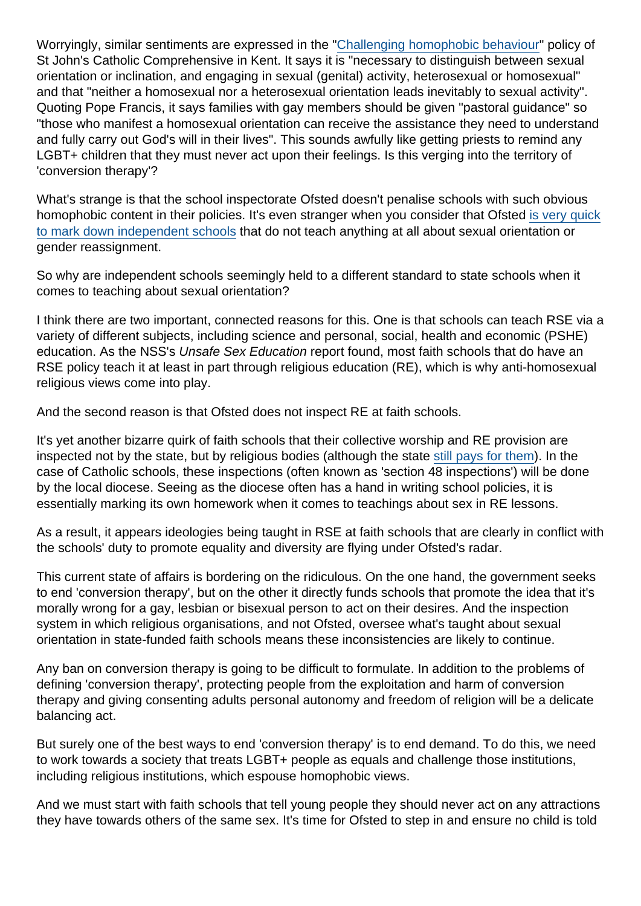Worryingly, similar sentiments are expressed in the ["Challenging homophobic behaviour](https://www.stjohnscs.com/attachments/download.asp?file=84&type=pdf)" policy of St John's Catholic Comprehensive in Kent. It says it is "necessary to distinguish between sexual orientation or inclination, and engaging in sexual (genital) activity, heterosexual or homosexual" and that "neither a homosexual nor a heterosexual orientation leads inevitably to sexual activity". Quoting Pope Francis, it says families with gay members should be given "pastoral guidance" so "those who manifest a homosexual orientation can receive the assistance they need to understand and fully carry out God's will in their lives". This sounds awfully like getting priests to remind any LGBT+ children that they must never act upon their feelings. Is this verging into the territory of 'conversion therapy'?

What's strange is that the school inspectorate Ofsted doesn't penalise schools with such obvious homophobic content in their policies. It's even stranger when you consider that Ofsted [is very quick](https://www.secularism.org.uk/opinion/2019/07/faith-schools-must-stop-stigmatising-same-sex-relationships) [to mark down independent schools](https://www.secularism.org.uk/opinion/2019/07/faith-schools-must-stop-stigmatising-same-sex-relationships) that do not teach anything at all about sexual orientation or gender reassignment.

So why are independent schools seemingly held to a different standard to state schools when it comes to teaching about sexual orientation?

I think there are two important, connected reasons for this. One is that schools can teach RSE via a variety of different subjects, including science and personal, social, health and economic (PSHE) education. As the NSS's Unsafe Sex Education report found, most faith schools that do have an RSE policy teach it at least in part through religious education (RE), which is why anti-homosexual religious views come into play.

And the second reason is that Ofsted does not inspect RE at faith schools.

It's yet another bizarre quirk of faith schools that their collective worship and RE provision are inspected not by the state, but by religious bodies (although the state [still pays for them](https://www.secularism.org.uk/news/2017/06/nss-calls-for-end-to-state-funded-religiosity-inspections-in-schools)). In the case of Catholic schools, these inspections (often known as 'section 48 inspections') will be done by the local diocese. Seeing as the diocese often has a hand in writing school policies, it is essentially marking its own homework when it comes to teachings about sex in RE lessons.

As a result, it appears ideologies being taught in RSE at faith schools that are clearly in conflict with the schools' duty to promote equality and diversity are flying under Ofsted's radar.

This current state of affairs is bordering on the ridiculous. On the one hand, the government seeks to end 'conversion therapy', but on the other it directly funds schools that promote the idea that it's morally wrong for a gay, lesbian or bisexual person to act on their desires. And the inspection system in which religious organisations, and not Ofsted, oversee what's taught about sexual orientation in state-funded faith schools means these inconsistencies are likely to continue.

Any ban on conversion therapy is going to be difficult to formulate. In addition to the problems of defining 'conversion therapy', protecting people from the exploitation and harm of conversion therapy and giving consenting adults personal autonomy and freedom of religion will be a delicate balancing act.

But surely one of the best ways to end 'conversion therapy' is to end demand. To do this, we need to work towards a society that treats LGBT+ people as equals and challenge those institutions. including religious institutions, which espouse homophobic views.

And we must start with faith schools that tell young people they should never act on any attractions they have towards others of the same sex. It's time for Ofsted to step in and ensure no child is told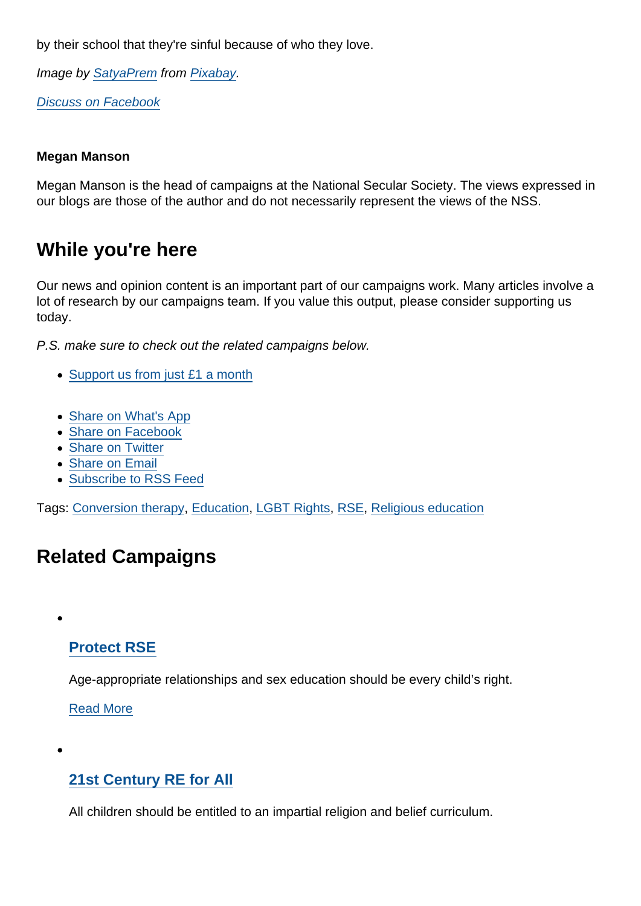by their school that they're sinful because of who they love.

Image by [SatyaPrem](https://pixabay.com/users/SatyaPrem-6578610/?utm_source=link-attribution&utm_medium=referral&utm_campaign=image&utm_content=4426296) from [Pixabay](https://pixabay.com/?utm_source=link-attribution&utm_medium=referral&utm_campaign=image&utm_content=4426296).

[Discuss on Facebook](https://www.facebook.com/NationalSecularSociety/posts/3080624428672554?__xts__[0]=68.ARAmL-8OtXcAhJR2brSsMSohPCBWh3zSooHta4HkcMLZEM_xNcY3BSt1KXS3tHagiBbN8GeQeyOHyM5HSz0pIfPqRUaa4aoEvxpS7WMorHNeelVLjj5r2scJcNhRj8iu3GTH_wOvR1I3P_8YPSqJEFzA2s-4_qhObIlXGtCzoCryV-7XcNUNUfdIo-dvN6O0RAPNgAQSJKVsgHBPFmxg7f9SYNCQBuZnix47V-raQ5BnBm3_AwqonFx6pVUkbhW8zHUmk8f_nWgZVRWEUWlF3r3HOLyKAl-NK8fINC_-lplEAulcbOyA1PfAJtVx2Qbivfiuf9CpNULa8WDTJe_05t2wtQ&__tn__=-R)

Megan Manson

Megan Manson is the head of campaigns at the National Secular Society. The views expressed in our blogs are those of the author and do not necessarily represent the views of the NSS.

## While you're here

Our news and opinion content is an important part of our campaigns work. Many articles involve a lot of research by our campaigns team. If you value this output, please consider supporting us today.

P.S. make sure to check out the related campaigns below.

- [Support us from just £1 a month](https://www.secularism.org.uk/donate.html)
- [Share on What's App](whatsapp://send?text=http://www.secularism.org.uk/opinion/2020/06/why-cant-ofsted-stop-state-schools-preaching-that-same-sex-relationships-are-wrong?format=pdf)
- [Share on Facebook](https://www.facebook.com/sharer/sharer.php?u=http://www.secularism.org.uk/opinion/2020/06/why-cant-ofsted-stop-state-schools-preaching-that-same-sex-relationships-are-wrong?format=pdf&t=Why+can)
- [Share on Twitter](https://twitter.com/intent/tweet?url=http://www.secularism.org.uk/opinion/2020/06/why-cant-ofsted-stop-state-schools-preaching-that-same-sex-relationships-are-wrong?format=pdf&text=Why+can)
- [Share on Email](https://www.secularism.org.uk/share.html?url=http://www.secularism.org.uk/opinion/2020/06/why-cant-ofsted-stop-state-schools-preaching-that-same-sex-relationships-are-wrong?format=pdf&title=Why+can)
- [Subscribe to RSS Feed](/mnt/web-data/www/cp-nss/feeds/rss/news)

Tags: [Conversion therapy](https://www.secularism.org.uk/opinion/tags/Conversion+therapy), [Education](https://www.secularism.org.uk/opinion/tags/Education), [LGBT Rights,](https://www.secularism.org.uk/opinion/tags/LGBT+Rights) [RSE](https://www.secularism.org.uk/opinion/tags/RSE), [Religious education](https://www.secularism.org.uk/opinion/tags/Religious+education)

## Related Campaigns

[Protect RSE](https://www.secularism.org.uk/sex-education/)

 $\epsilon$ 

Age-appropriate relationships and sex education should be every child's right.

[Read More](https://www.secularism.org.uk/sex-education/)

#### [21st Century RE for All](https://www.secularism.org.uk/21st-century-re-for-all/)

All children should be entitled to an impartial religion and belief curriculum.